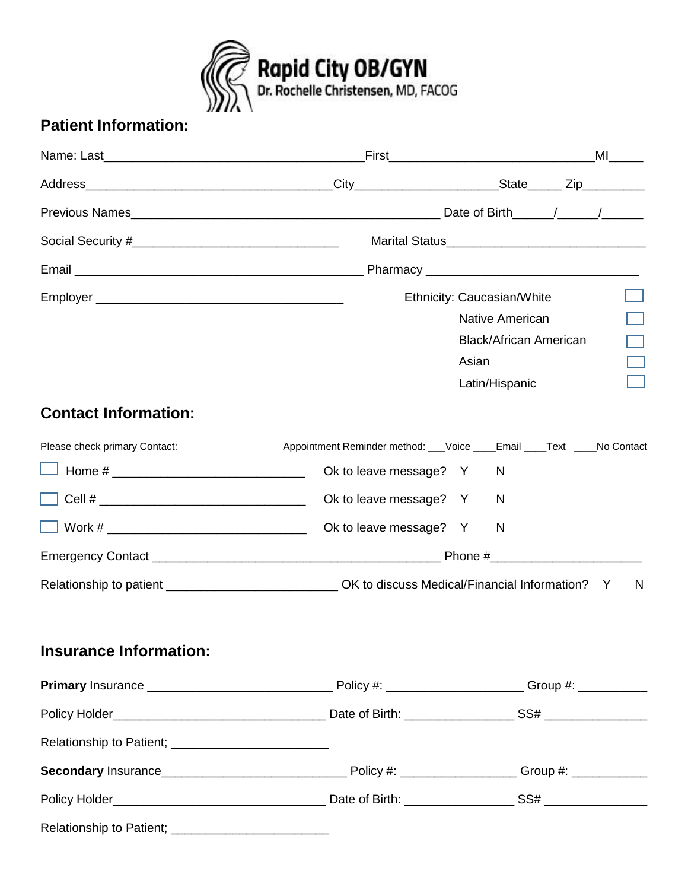

## **Patient Information:**

|                                                                                                                 |                                                                        |                |                               |  | ML |  |
|-----------------------------------------------------------------------------------------------------------------|------------------------------------------------------------------------|----------------|-------------------------------|--|----|--|
|                                                                                                                 |                                                                        |                |                               |  |    |  |
| Previous Names 2008 Communication and Communication Communication and Date of Birth 2008 Communication and Comm |                                                                        |                |                               |  |    |  |
|                                                                                                                 |                                                                        |                |                               |  |    |  |
|                                                                                                                 |                                                                        |                |                               |  |    |  |
|                                                                                                                 |                                                                        |                | Ethnicity: Caucasian/White    |  |    |  |
|                                                                                                                 |                                                                        |                | Native American               |  |    |  |
|                                                                                                                 |                                                                        |                | <b>Black/African American</b> |  |    |  |
|                                                                                                                 |                                                                        | Asian          |                               |  |    |  |
|                                                                                                                 |                                                                        | Latin/Hispanic |                               |  |    |  |
| <b>Contact Information:</b>                                                                                     |                                                                        |                |                               |  |    |  |
| Please check primary Contact:                                                                                   | Appointment Reminder method: __Voice ____Email ____Text ____No Contact |                |                               |  |    |  |
| Home # $\_$                                                                                                     | Ok to leave message? Y                                                 |                | N                             |  |    |  |
|                                                                                                                 | Ok to leave message? Y                                                 |                | N                             |  |    |  |
|                                                                                                                 | Ok to leave message? Y                                                 |                | N                             |  |    |  |
|                                                                                                                 |                                                                        |                |                               |  |    |  |
| Relationship to patient _______________________________OK to discuss Medical/Financial Information? Y           |                                                                        |                |                               |  | N  |  |
| <b>Insurance Information:</b>                                                                                   |                                                                        |                |                               |  |    |  |
|                                                                                                                 |                                                                        |                |                               |  |    |  |
|                                                                                                                 |                                                                        |                |                               |  |    |  |
| Relationship to Patient; _____________________________                                                          |                                                                        |                |                               |  |    |  |
|                                                                                                                 |                                                                        |                |                               |  |    |  |
|                                                                                                                 |                                                                        |                |                               |  |    |  |
| Relationship to Patient; _________________________________                                                      |                                                                        |                |                               |  |    |  |